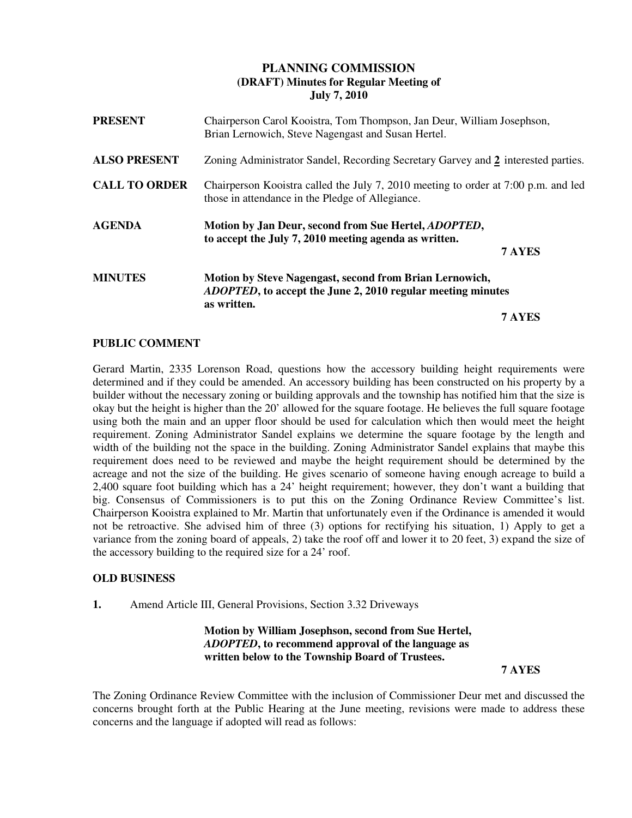# **PLANNING COMMISSION (DRAFT) Minutes for Regular Meeting of July 7, 2010**

| <b>PRESENT</b>       | Chairperson Carol Kooistra, Tom Thompson, Jan Deur, William Josephson,<br>Brian Lernowich, Steve Nagengast and Susan Hertel.                         |  |
|----------------------|------------------------------------------------------------------------------------------------------------------------------------------------------|--|
| <b>ALSO PRESENT</b>  | Zoning Administrator Sandel, Recording Secretary Garvey and 2 interested parties.                                                                    |  |
| <b>CALL TO ORDER</b> | Chairperson Kooistra called the July 7, 2010 meeting to order at 7:00 p.m. and led<br>those in attendance in the Pledge of Allegiance.               |  |
| <b>AGENDA</b>        | Motion by Jan Deur, second from Sue Hertel, <i>ADOPTED</i> ,<br>to accept the July 7, 2010 meeting agenda as written.<br>7 AYES                      |  |
| <b>MINUTES</b>       | <b>Motion by Steve Nagengast, second from Brian Lernowich,</b><br><i>ADOPTED</i> , to accept the June 2, 2010 regular meeting minutes<br>as written. |  |
|                      | 7 AYES                                                                                                                                               |  |

### **PUBLIC COMMENT**

Gerard Martin, 2335 Lorenson Road, questions how the accessory building height requirements were determined and if they could be amended. An accessory building has been constructed on his property by a builder without the necessary zoning or building approvals and the township has notified him that the size is okay but the height is higher than the 20' allowed for the square footage. He believes the full square footage using both the main and an upper floor should be used for calculation which then would meet the height requirement. Zoning Administrator Sandel explains we determine the square footage by the length and width of the building not the space in the building. Zoning Administrator Sandel explains that maybe this requirement does need to be reviewed and maybe the height requirement should be determined by the acreage and not the size of the building. He gives scenario of someone having enough acreage to build a 2,400 square foot building which has a 24' height requirement; however, they don't want a building that big. Consensus of Commissioners is to put this on the Zoning Ordinance Review Committee's list. Chairperson Kooistra explained to Mr. Martin that unfortunately even if the Ordinance is amended it would not be retroactive. She advised him of three (3) options for rectifying his situation, 1) Apply to get a variance from the zoning board of appeals, 2) take the roof off and lower it to 20 feet, 3) expand the size of the accessory building to the required size for a 24' roof.

### **OLD BUSINESS**

**1.** Amend Article III, General Provisions, Section 3.32 Driveways

## **Motion by William Josephson, second from Sue Hertel,** *ADOPTED***, to recommend approval of the language as written below to the Township Board of Trustees.**

### **7 AYES**

The Zoning Ordinance Review Committee with the inclusion of Commissioner Deur met and discussed the concerns brought forth at the Public Hearing at the June meeting, revisions were made to address these concerns and the language if adopted will read as follows: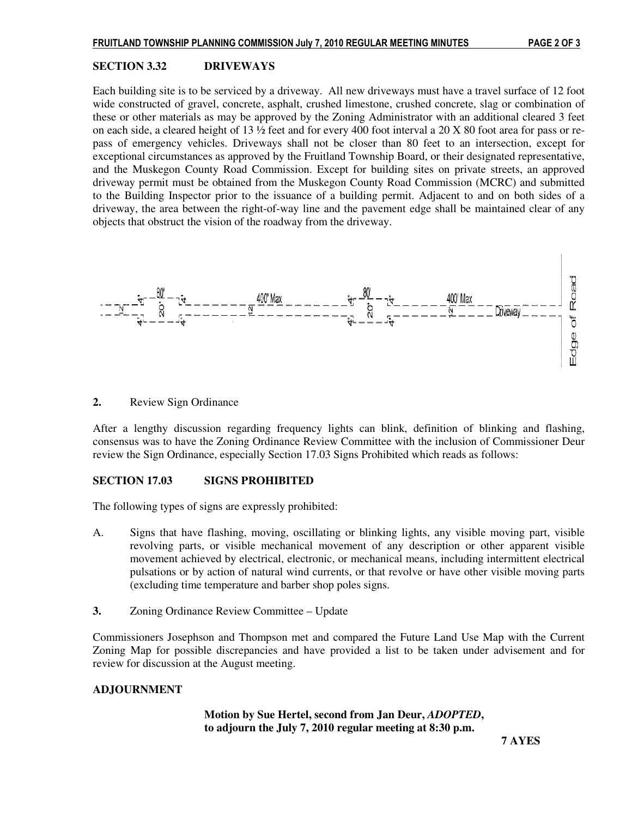#### **SECTION 3.32 DRIVEWAYS**

Each building site is to be serviced by a driveway. All new driveways must have a travel surface of 12 foot wide constructed of gravel, concrete, asphalt, crushed limestone, crushed concrete, slag or combination of these or other materials as may be approved by the Zoning Administrator with an additional cleared 3 feet on each side, a cleared height of 13 ½ feet and for every 400 foot interval a 20 X 80 foot area for pass or repass of emergency vehicles. Driveways shall not be closer than 80 feet to an intersection, except for exceptional circumstances as approved by the Fruitland Township Board, or their designated representative, and the Muskegon County Road Commission. Except for building sites on private streets, an approved driveway permit must be obtained from the Muskegon County Road Commission (MCRC) and submitted to the Building Inspector prior to the issuance of a building permit. Adjacent to and on both sides of a driveway, the area between the right-of-way line and the pavement edge shall be maintained clear of any objects that obstruct the vision of the roadway from the driveway.



#### **2.** Review Sign Ordinance

After a lengthy discussion regarding frequency lights can blink, definition of blinking and flashing, consensus was to have the Zoning Ordinance Review Committee with the inclusion of Commissioner Deur review the Sign Ordinance, especially Section 17.03 Signs Prohibited which reads as follows:

#### **SECTION 17.03 SIGNS PROHIBITED**

The following types of signs are expressly prohibited:

- A. Signs that have flashing, moving, oscillating or blinking lights, any visible moving part, visible revolving parts, or visible mechanical movement of any description or other apparent visible movement achieved by electrical, electronic, or mechanical means, including intermittent electrical pulsations or by action of natural wind currents, or that revolve or have other visible moving parts (excluding time temperature and barber shop poles signs.
- **3.** Zoning Ordinance Review Committee Update

Commissioners Josephson and Thompson met and compared the Future Land Use Map with the Current Zoning Map for possible discrepancies and have provided a list to be taken under advisement and for review for discussion at the August meeting.

#### **ADJOURNMENT**

 **Motion by Sue Hertel, second from Jan Deur,** *ADOPTED***, to adjourn the July 7, 2010 regular meeting at 8:30 p.m.**